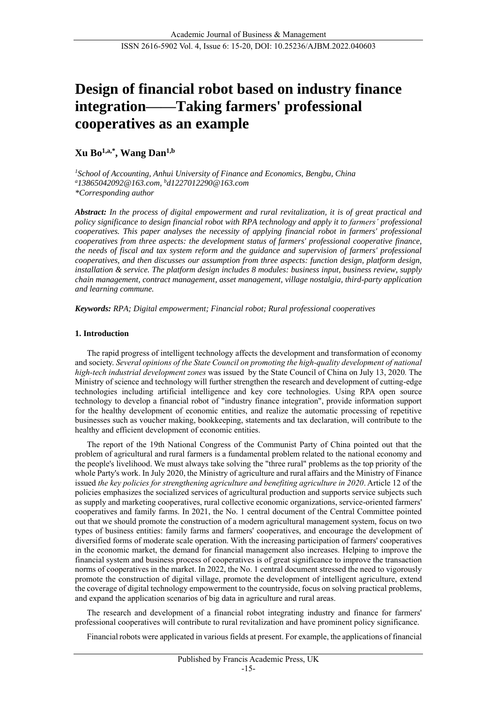# **Design of financial robot based on industry finance integration——Taking farmers' professional cooperatives as an example**

## **Xu Bo1,a,\*, Wang Dan1,b**

*<sup>1</sup>School of Accounting, Anhui University of Finance and Economics, Bengbu, China <sup>a</sup>13865042092@163.com, <sup>b</sup>d1227012290@163.com \*Corresponding author*

*Abstract: In the process of digital empowerment and rural revitalization, it is of great practical and policy significance to design financial robot with RPA technology and apply it to farmers' professional cooperatives. This paper analyses the necessity of applying financial robot in farmers' professional cooperatives from three aspects: the development status of farmers' professional cooperative finance, the needs of fiscal and tax system reform and the guidance and supervision of farmers' professional cooperatives, and then discusses our assumption from three aspects: function design, platform design, installation & service. The platform design includes 8 modules: business input, business review, supply chain management, contract management, asset management, village nostalgia, third-party application and learning commune.*

*Keywords: RPA; Digital empowerment; Financial robot; Rural professional cooperatives*

## **1. Introduction**

The rapid progress of intelligent technology affects the development and transformation of economy and society. *Several opinions of the State Council on promoting the high-quality development of national high-tech industrial development zones* was issued by the State Council of China on July 13, 2020*.* The Ministry of science and technology will further strengthen the research and development of cutting-edge technologies including artificial intelligence and key core technologies. Using RPA open source technology to develop a financial robot of "industry finance integration", provide information support for the healthy development of economic entities, and realize the automatic processing of repetitive businesses such as voucher making, bookkeeping, statements and tax declaration, will contribute to the healthy and efficient development of economic entities.

The report of the 19th National Congress of the Communist Party of China pointed out that the problem of agricultural and rural farmers is a fundamental problem related to the national economy and the people's livelihood. We must always take solving the "three rural" problems as the top priority of the whole Party's work. In July 2020, the Ministry of agriculture and rural affairs and the Ministry of Finance issued *the key policies for strengthening agriculture and benefiting agriculture in 2020*. Article 12 of the policies emphasizes the socialized services of agricultural production and supports service subjects such as supply and marketing cooperatives, rural collective economic organizations, service-oriented farmers' cooperatives and family farms. In 2021, the No. 1 central document of the Central Committee pointed out that we should promote the construction of a modern agricultural management system, focus on two types of business entities: family farms and farmers' cooperatives, and encourage the development of diversified forms of moderate scale operation. With the increasing participation of farmers' cooperatives in the economic market, the demand for financial management also increases. Helping to improve the financial system and business process of cooperatives is of great significance to improve the transaction norms of cooperatives in the market. In 2022, the No. 1 central document stressed the need to vigorously promote the construction of digital village, promote the development of intelligent agriculture, extend the coverage of digital technology empowerment to the countryside, focus on solving practical problems, and expand the application scenarios of big data in agriculture and rural areas.

The research and development of a financial robot integrating industry and finance for farmers' professional cooperatives will contribute to rural revitalization and have prominent policy significance.

Financial robots were applicated in various fields at present. For example, the applications of financial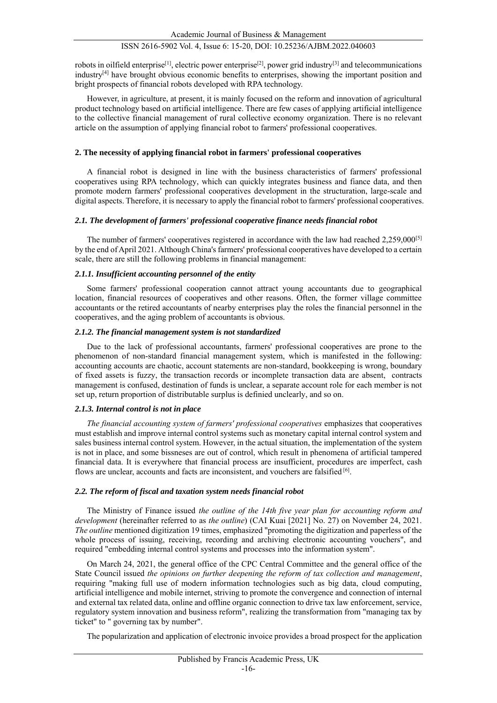robots in oilfield enterprise<sup>[1]</sup>, electric power enterprise<sup>[2]</sup>, power grid industry<sup>[3]</sup> and telecommunications industry $[4]$  have brought obvious economic benefits to enterprises, showing the important position and bright prospects of financial robots developed with RPA technology.

However, in agriculture, at present, it is mainly focused on the reform and innovation of agricultural product technology based on artificial intelligence. There are few cases of applying artificial intelligence to the collective financial management of rural collective economy organization. There is no relevant article on the assumption of applying financial robot to farmers' professional cooperatives.

## **2. The necessity of applying financial robot in farmers' professional cooperatives**

A financial robot is designed in line with the business characteristics of farmers' professional cooperatives using RPA technology, which can quickly integrates business and fiance data, and then promote modern farmers' professional cooperatives development in the structuration, large-scale and digital aspects. Therefore, it is necessary to apply the financial robot to farmers' professional cooperatives.

## *2.1. The development of farmers' professional cooperative finance needs financial robot*

The number of farmers' cooperatives registered in accordance with the law had reached 2,259,000[5] by the end of April 2021. Although China's farmers' professional cooperatives have developed to a certain scale, there are still the following problems in financial management:

## *2.1.1. Insufficient accounting personnel of the entity*

Some farmers' professional cooperation cannot attract young accountants due to geographical location, financial resources of cooperatives and other reasons. Often, the former village committee accountants or the retired accountants of nearby enterprises play the roles the financial personnel in the cooperatives, and the aging problem of accountants is obvious.

## *2.1.2. The financial management system is not standardized*

Due to the lack of professional accountants, farmers' professional cooperatives are prone to the phenomenon of non-standard financial management system, which is manifested in the following: accounting accounts are chaotic, account statements are non-standard, bookkeeping is wrong, boundary of fixed assets is fuzzy, the transaction records or incomplete transaction data are absent, contracts management is confused, destination of funds is unclear, a separate account role for each member is not set up, return proportion of distributable surplus is definied unclearly, and so on.

## *2.1.3. Internal control is not in place*

*The financial accounting system of farmers' professional cooperatives* emphasizes that cooperatives must establish and improve internal control systems such as monetary capital internal control system and sales business internal control system. However, in the actual situation, the implementation of the system is not in place, and some bissneses are out of control, which result in phenomena of artificial tampered financial data. It is everywhere that financial process are insufficient, procedures are imperfect, cash flows are unclear, accounts and facts are inconsistent, and vouchers are falsified [6].

## *2.2. The reform of fiscal and taxation system needs financial robot*

The Ministry of Finance issued *the outline of the 14th five year plan for accounting reform and development* (hereinafter referred to as *the outline*) (CAI Kuai [2021] No. 27) on November 24, 2021. *The outline* mentioned digitization 19 times, emphasized "promoting the digitization and paperless of the whole process of issuing, receiving, recording and archiving electronic accounting vouchers", and required "embedding internal control systems and processes into the information system".

On March 24, 2021, the general office of the CPC Central Committee and the general office of the State Council issued *the opinions on further deepening the reform of tax collection and management*, requiring "making full use of modern information technologies such as big data, cloud computing, artificial intelligence and mobile internet, striving to promote the convergence and connection of internal and external tax related data, online and offline organic connection to drive tax law enforcement, service, regulatory system innovation and business reform", realizing the transformation from "managing tax by ticket" to " governing tax by number".

The popularization and application of electronic invoice provides a broad prospect for the application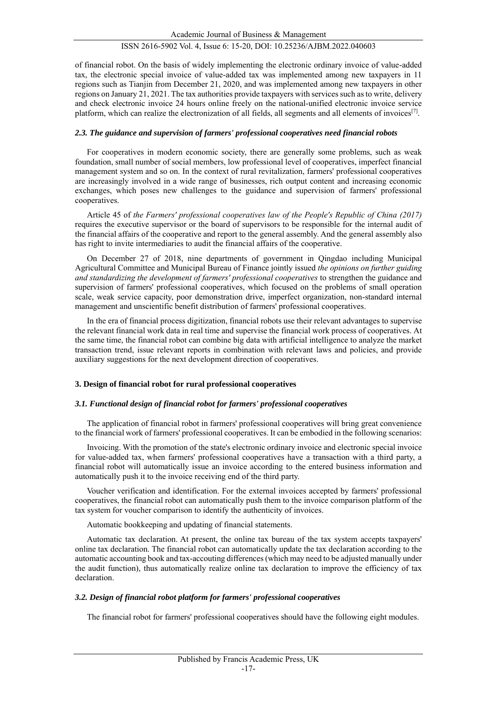of financial robot. On the basis of widely implementing the electronic ordinary invoice of value-added tax, the electronic special invoice of value-added tax was implemented among new taxpayers in 11 regions such as Tianjin from December 21, 2020, and was implemented among new taxpayers in other regions on January 21, 2021. The tax authorities provide taxpayers with services such as to write, delivery and check electronic invoice 24 hours online freely on the national-unified electronic invoice service platform, which can realize the electronization of all fields, all segments and all elements of invoices<sup>[7]</sup>.

## *2.3. The guidance and supervision of farmers' professional cooperatives need financial robots*

For cooperatives in modern economic society, there are generally some problems, such as weak foundation, small number of social members, low professional level of cooperatives, imperfect financial management system and so on. In the context of rural revitalization, farmers' professional cooperatives are increasingly involved in a wide range of businesses, rich output content and increasing economic exchanges, which poses new challenges to the guidance and supervision of farmers' professional cooperatives.

Article 45 of *the Farmers' professional cooperatives law of the People's Republic of China (2017)* requires the executive supervisor or the board of supervisors to be responsible for the internal audit of the financial affairs of the cooperative and report to the general assembly. And the general assembly also has right to invite intermediaries to audit the financial affairs of the cooperative.

On December 27 of 2018, nine departments of government in Qingdao including Municipal Agricultural Committee and Municipal Bureau of Finance jointly issued *the opinions on further guiding and standardizing the development of farmers' professional cooperatives* to strengthen the guidance and supervision of farmers' professional cooperatives, which focused on the problems of small operation scale, weak service capacity, poor demonstration drive, imperfect organization, non-standard internal management and unscientific benefit distribution of farmers' professional cooperatives.

In the era of financial process digitization, financial robots use their relevant advantages to supervise the relevant financial work data in real time and supervise the financial work process of cooperatives. At the same time, the financial robot can combine big data with artificial intelligence to analyze the market transaction trend, issue relevant reports in combination with relevant laws and policies, and provide auxiliary suggestions for the next development direction of cooperatives.

## **3. Design of financial robot for rural professional cooperatives**

## *3.1. Functional design of financial robot for farmers' professional cooperatives*

The application of financial robot in farmers' professional cooperatives will bring great convenience to the financial work of farmers' professional cooperatives. It can be embodied in the following scenarios:

Invoicing. With the promotion of the state's electronic ordinary invoice and electronic special invoice for value-added tax, when farmers' professional cooperatives have a transaction with a third party, a financial robot will automatically issue an invoice according to the entered business information and automatically push it to the invoice receiving end of the third party.

Voucher verification and identification. For the external invoices accepted by farmers' professional cooperatives, the financial robot can automatically push them to the invoice comparison platform of the tax system for voucher comparison to identify the authenticity of invoices.

Automatic bookkeeping and updating of financial statements.

Automatic tax declaration. At present, the online tax bureau of the tax system accepts taxpayers' online tax declaration. The financial robot can automatically update the tax declaration according to the automatic accounting book and tax-accouting differences (which may need to be adjusted manually under the audit function), thus automatically realize online tax declaration to improve the efficiency of tax declaration.

## *3.2. Design of financial robot platform for farmers' professional cooperatives*

The financial robot for farmers' professional cooperatives should have the following eight modules.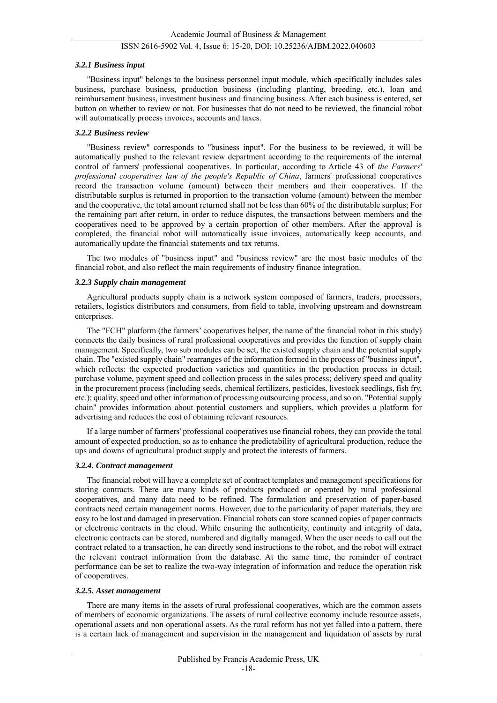#### *3.2.1 Business input*

"Business input" belongs to the business personnel input module, which specifically includes sales business, purchase business, production business (including planting, breeding, etc.), loan and reimbursement business, investment business and financing business. After each business is entered, set button on whether to review or not. For businesses that do not need to be reviewed, the financial robot will automatically process invoices, accounts and taxes.

#### *3.2.2 Business review*

"Business review" corresponds to "business input". For the business to be reviewed, it will be automatically pushed to the relevant review department according to the requirements of the internal control of farmers' professional cooperatives. In particular, according to Article 43 of *the Farmers' professional cooperatives law of the people's Republic of China*, farmers' professional cooperatives record the transaction volume (amount) between their members and their cooperatives. If the distributable surplus is returned in proportion to the transaction volume (amount) between the member and the cooperative, the total amount returned shall not be less than 60% of the distributable surplus; For the remaining part after return, in order to reduce disputes, the transactions between members and the cooperatives need to be approved by a certain proportion of other members. After the approval is completed, the financial robot will automatically issue invoices, automatically keep accounts, and automatically update the financial statements and tax returns.

The two modules of "business input" and "business review" are the most basic modules of the financial robot, and also reflect the main requirements of industry finance integration.

#### *3.2.3 Supply chain management*

Agricultural products supply chain is a network system composed of farmers, traders, processors, retailers, logistics distributors and consumers, from field to table, involving upstream and downstream enterprises.

The "FCH" platform (the farmers' cooperatives helper, the name of the financial robot in this study) connects the daily business of rural professional cooperatives and provides the function of supply chain management. Specifically, two sub modules can be set, the existed supply chain and the potential supply chain. The "existed supply chain" rearranges of the information formed in the process of "business input", which reflects: the expected production varieties and quantities in the production process in detail; purchase volume, payment speed and collection process in the sales process; delivery speed and quality in the procurement process (including seeds, chemical fertilizers, pesticides, livestock seedlings, fish fry, etc.); quality, speed and other information of processing outsourcing process, and so on. "Potential supply chain" provides information about potential customers and suppliers, which provides a platform for advertising and reduces the cost of obtaining relevant resources.

If a large number of farmers' professional cooperatives use financial robots, they can provide the total amount of expected production, so as to enhance the predictability of agricultural production, reduce the ups and downs of agricultural product supply and protect the interests of farmers.

## *3.2.4. Contract management*

The financial robot will have a complete set of contract templates and management specifications for storing contracts. There are many kinds of products produced or operated by rural professional cooperatives, and many data need to be refined. The formulation and preservation of paper-based contracts need certain management norms. However, due to the particularity of paper materials, they are easy to be lost and damaged in preservation. Financial robots can store scanned copies of paper contracts or electronic contracts in the cloud. While ensuring the authenticity, continuity and integrity of data, electronic contracts can be stored, numbered and digitally managed. When the user needs to call out the contract related to a transaction, he can directly send instructions to the robot, and the robot will extract the relevant contract information from the database. At the same time, the reminder of contract performance can be set to realize the two-way integration of information and reduce the operation risk of cooperatives.

#### *3.2.5. Asset management*

There are many items in the assets of rural professional cooperatives, which are the common assets of members of economic organizations. The assets of rural collective economy include resource assets, operational assets and non operational assets. As the rural reform has not yet falled into a pattern, there is a certain lack of management and supervision in the management and liquidation of assets by rural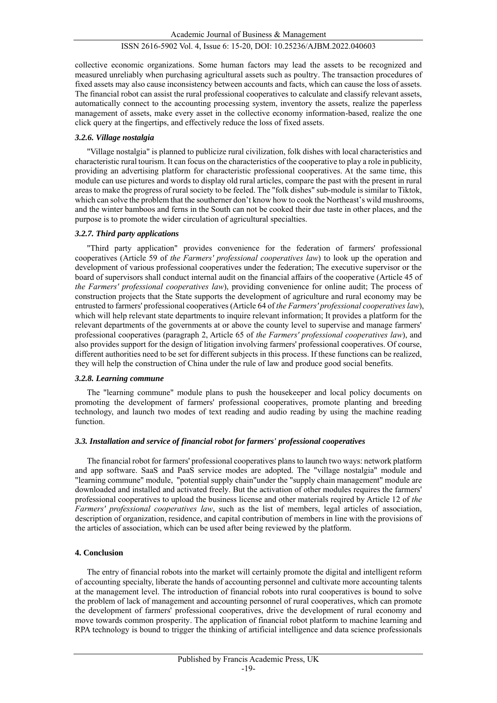collective economic organizations. Some human factors may lead the assets to be recognized and measured unreliably when purchasing agricultural assets such as poultry. The transaction procedures of fixed assets may also cause inconsistency between accounts and facts, which can cause the loss of assets. The financial robot can assist the rural professional cooperatives to calculate and classify relevant assets, automatically connect to the accounting processing system, inventory the assets, realize the paperless management of assets, make every asset in the collective economy information-based, realize the one click query at the fingertips, and effectively reduce the loss of fixed assets.

## *3.2.6. Village nostalgia*

"Village nostalgia" is planned to publicize rural civilization, folk dishes with local characteristics and characteristic rural tourism. It can focus on the characteristics of the cooperative to play a role in publicity, providing an advertising platform for characteristic professional cooperatives. At the same time, this module can use pictures and words to display old rural articles, compare the past with the present in rural areas to make the progress of rural society to be feeled. The "folk dishes" sub-module is similar to Tiktok, which can solve the problem that the southerner don't know how to cook the Northeast's wild mushrooms, and the winter bamboos and ferns in the South can not be cooked their due taste in other places, and the purpose is to promote the wider circulation of agricultural specialties.

## *3.2.7. Third party applications*

"Third party application" provides convenience for the federation of farmers' professional cooperatives (Article 59 of *the Farmers' professional cooperatives law*) to look up the operation and development of various professional cooperatives under the federation; The executive supervisor or the board of supervisors shall conduct internal audit on the financial affairs of the cooperative (Article 45 of *the Farmers' professional cooperatives law*), providing convenience for online audit; The process of construction projects that the State supports the development of agriculture and rural economy may be entrusted to farmers' professional cooperatives (Article 64 of *the Farmers' professional cooperatives law*), which will help relevant state departments to inquire relevant information; It provides a platform for the relevant departments of the governments at or above the county level to supervise and manage farmers' professional cooperatives (paragraph 2, Article 65 of *the Farmers' professional cooperatives law*), and also provides support for the design of litigation involving farmers' professional cooperatives. Of course, different authorities need to be set for different subjects in this process. If these functions can be realized, they will help the construction of China under the rule of law and produce good social benefits.

## *3.2.8. Learning commune*

The "learning commune" module plans to push the housekeeper and local policy documents on promoting the development of farmers' professional cooperatives, promote planting and breeding technology, and launch two modes of text reading and audio reading by using the machine reading function.

## *3.3. Installation and service of financial robot for farmers' professional cooperatives*

The financial robot for farmers' professional cooperatives plans to launch two ways: network platform and app software. SaaS and PaaS service modes are adopted. The "village nostalgia" module and "learning commune" module, "potential supply chain"under the "supply chain management" module are downloaded and installed and activated freely. But the activation of other modules requires the farmers' professional cooperatives to upload the business license and other materials reqired by Article 12 of *the Farmers' professional cooperatives law*, such as the list of members, legal articles of association, description of organization, residence, and capital contribution of members in line with the provisions of the articles of association, which can be used after being reviewed by the platform.

## **4. Conclusion**

The entry of financial robots into the market will certainly promote the digital and intelligent reform of accounting specialty, liberate the hands of accounting personnel and cultivate more accounting talents at the management level. The introduction of financial robots into rural cooperatives is bound to solve the problem of lack of management and accounting personnel of rural cooperatives, which can promote the development of farmers' professional cooperatives, drive the development of rural economy and move towards common prosperity. The application of financial robot platform to machine learning and RPA technology is bound to trigger the thinking of artificial intelligence and data science professionals